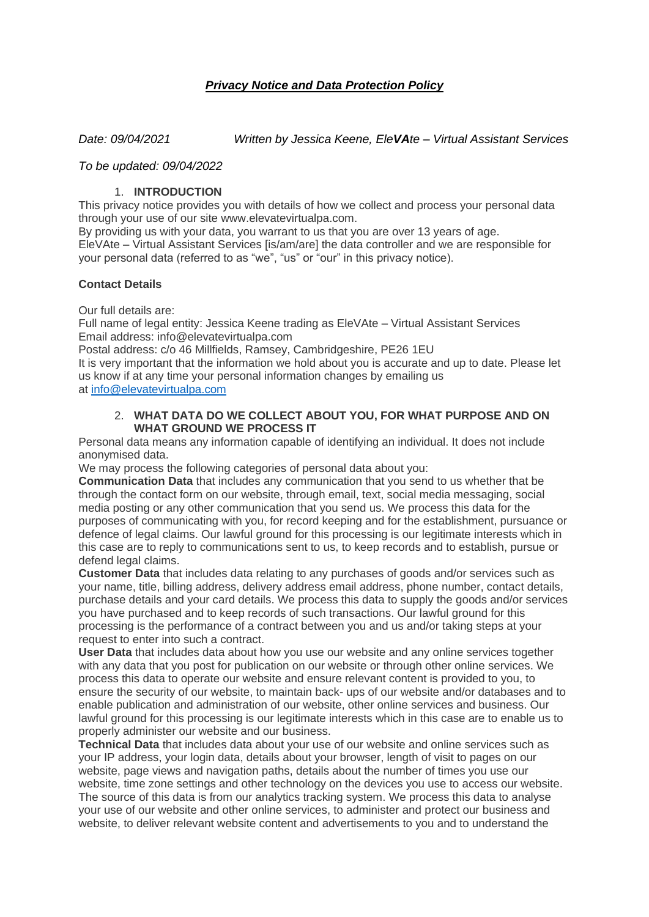# *Privacy Notice and Data Protection Policy*

*Date: 09/04/2021 Written by Jessica Keene, EleVAte – Virtual Assistant Services*

#### *To be updated: 09/04/2022*

## 1. **INTRODUCTION**

This privacy notice provides you with details of how we collect and process your personal data through your use of our site www.elevatevirtualpa.com.

By providing us with your data, you warrant to us that you are over 13 years of age. EleVAte – Virtual Assistant Services [is/am/are] the data controller and we are responsible for your personal data (referred to as "we", "us" or "our" in this privacy notice).

## **Contact Details**

Our full details are:

Full name of legal entity: Jessica Keene trading as EleVAte – Virtual Assistant Services Email address: info@elevatevirtualpa.com

Postal address: c/o 46 Millfields, Ramsey, Cambridgeshire, PE26 1EU

It is very important that the information we hold about you is accurate and up to date. Please let us know if at any time your personal information changes by emailing us at [info@elevatevirtualpa.com](mailto:info@elevatevirtualpa.com)

#### 2. **WHAT DATA DO WE COLLECT ABOUT YOU, FOR WHAT PURPOSE AND ON WHAT GROUND WE PROCESS IT**

Personal data means any information capable of identifying an individual. It does not include anonymised data.

We may process the following categories of personal data about you:

**Communication Data** that includes any communication that you send to us whether that be through the contact form on our website, through email, text, social media messaging, social media posting or any other communication that you send us. We process this data for the purposes of communicating with you, for record keeping and for the establishment, pursuance or defence of legal claims. Our lawful ground for this processing is our legitimate interests which in this case are to reply to communications sent to us, to keep records and to establish, pursue or defend legal claims.

**Customer Data** that includes data relating to any purchases of goods and/or services such as your name, title, billing address, delivery address email address, phone number, contact details, purchase details and your card details. We process this data to supply the goods and/or services you have purchased and to keep records of such transactions. Our lawful ground for this processing is the performance of a contract between you and us and/or taking steps at your request to enter into such a contract.

**User Data** that includes data about how you use our website and any online services together with any data that you post for publication on our website or through other online services. We process this data to operate our website and ensure relevant content is provided to you, to ensure the security of our website, to maintain back- ups of our website and/or databases and to enable publication and administration of our website, other online services and business. Our lawful ground for this processing is our legitimate interests which in this case are to enable us to properly administer our website and our business.

**Technical Data** that includes data about your use of our website and online services such as your IP address, your login data, details about your browser, length of visit to pages on our website, page views and navigation paths, details about the number of times you use our website, time zone settings and other technology on the devices you use to access our website. The source of this data is from our analytics tracking system. We process this data to analyse your use of our website and other online services, to administer and protect our business and website, to deliver relevant website content and advertisements to you and to understand the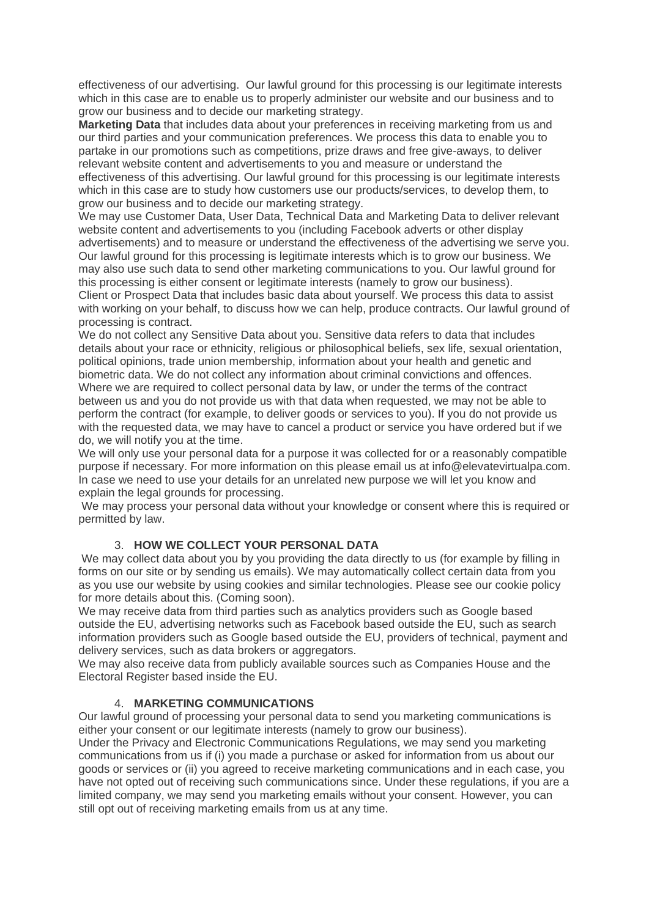effectiveness of our advertising. Our lawful ground for this processing is our legitimate interests which in this case are to enable us to properly administer our website and our business and to grow our business and to decide our marketing strategy.

**Marketing Data** that includes data about your preferences in receiving marketing from us and our third parties and your communication preferences. We process this data to enable you to partake in our promotions such as competitions, prize draws and free give-aways, to deliver relevant website content and advertisements to you and measure or understand the effectiveness of this advertising. Our lawful ground for this processing is our legitimate interests which in this case are to study how customers use our products/services, to develop them, to grow our business and to decide our marketing strategy.

We may use Customer Data, User Data, Technical Data and Marketing Data to deliver relevant website content and advertisements to you (including Facebook adverts or other display advertisements) and to measure or understand the effectiveness of the advertising we serve you. Our lawful ground for this processing is legitimate interests which is to grow our business. We may also use such data to send other marketing communications to you. Our lawful ground for this processing is either consent or legitimate interests (namely to grow our business). Client or Prospect Data that includes basic data about yourself. We process this data to assist

with working on your behalf, to discuss how we can help, produce contracts. Our lawful ground of processing is contract.

We do not collect any Sensitive Data about you. Sensitive data refers to data that includes details about your race or ethnicity, religious or philosophical beliefs, sex life, sexual orientation, political opinions, trade union membership, information about your health and genetic and biometric data. We do not collect any information about criminal convictions and offences. Where we are required to collect personal data by law, or under the terms of the contract between us and you do not provide us with that data when requested, we may not be able to perform the contract (for example, to deliver goods or services to you). If you do not provide us with the requested data, we may have to cancel a product or service you have ordered but if we do, we will notify you at the time.

We will only use your personal data for a purpose it was collected for or a reasonably compatible purpose if necessary. For more information on this please email us at info@elevatevirtualpa.com. In case we need to use your details for an unrelated new purpose we will let you know and explain the legal grounds for processing.

We may process your personal data without your knowledge or consent where this is required or permitted by law.

# 3. **HOW WE COLLECT YOUR PERSONAL DATA**

We may collect data about you by you providing the data directly to us (for example by filling in forms on our site or by sending us emails). We may automatically collect certain data from you as you use our website by using cookies and similar technologies. Please see our cookie policy for more details about this. (Coming soon).

We may receive data from third parties such as analytics providers such as Google based outside the EU, advertising networks such as Facebook based outside the EU, such as search information providers such as Google based outside the EU, providers of technical, payment and delivery services, such as data brokers or aggregators.

We may also receive data from publicly available sources such as Companies House and the Electoral Register based inside the EU.

# 4. **MARKETING COMMUNICATIONS**

Our lawful ground of processing your personal data to send you marketing communications is either your consent or our legitimate interests (namely to grow our business).

Under the Privacy and Electronic Communications Regulations, we may send you marketing communications from us if (i) you made a purchase or asked for information from us about our goods or services or (ii) you agreed to receive marketing communications and in each case, you have not opted out of receiving such communications since. Under these regulations, if you are a limited company, we may send you marketing emails without your consent. However, you can still opt out of receiving marketing emails from us at any time.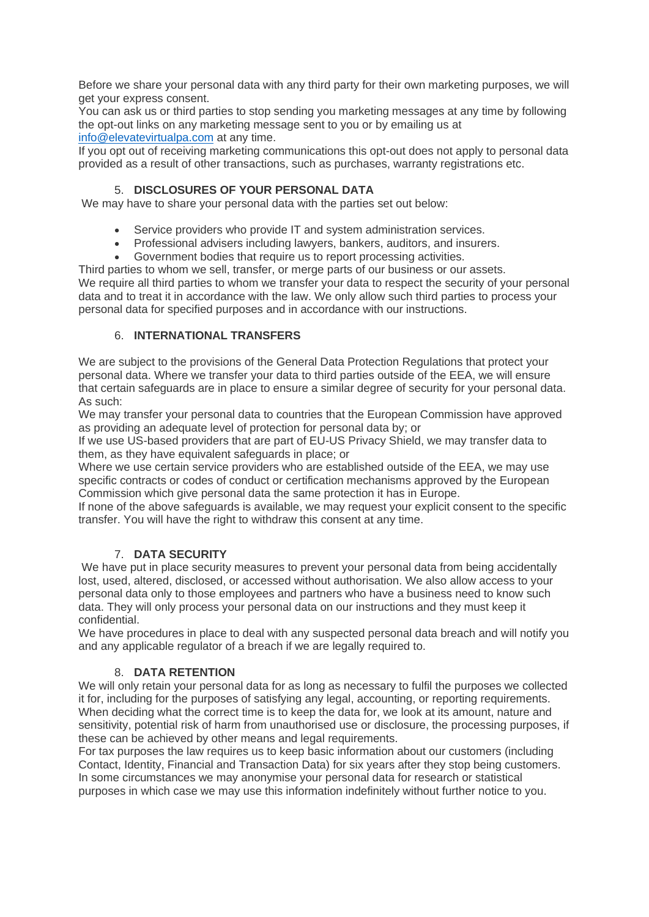Before we share your personal data with any third party for their own marketing purposes, we will get your express consent.

You can ask us or third parties to stop sending you marketing messages at any time by following the opt-out links on any marketing message sent to you or by emailing us at [info@elevatevirtualpa.com](mailto:info@elevatevirtualpa.com) at any time.

If you opt out of receiving marketing communications this opt-out does not apply to personal data provided as a result of other transactions, such as purchases, warranty registrations etc.

# 5. **DISCLOSURES OF YOUR PERSONAL DATA**

We may have to share your personal data with the parties set out below:

- Service providers who provide IT and system administration services.
- Professional advisers including lawyers, bankers, auditors, and insurers.
- Government bodies that require us to report processing activities.

Third parties to whom we sell, transfer, or merge parts of our business or our assets.

We require all third parties to whom we transfer your data to respect the security of your personal data and to treat it in accordance with the law. We only allow such third parties to process your personal data for specified purposes and in accordance with our instructions.

## 6. **INTERNATIONAL TRANSFERS**

We are subject to the provisions of the General Data Protection Regulations that protect your personal data. Where we transfer your data to third parties outside of the EEA, we will ensure that certain safeguards are in place to ensure a similar degree of security for your personal data. As such:

We may transfer your personal data to countries that the European Commission have approved as providing an adequate level of protection for personal data by; or

If we use US-based providers that are part of EU-US Privacy Shield, we may transfer data to them, as they have equivalent safeguards in place; or

Where we use certain service providers who are established outside of the EEA, we may use specific contracts or codes of conduct or certification mechanisms approved by the European Commission which give personal data the same protection it has in Europe.

If none of the above safeguards is available, we may request your explicit consent to the specific transfer. You will have the right to withdraw this consent at any time.

# 7. **DATA SECURITY**

We have put in place security measures to prevent your personal data from being accidentally lost, used, altered, disclosed, or accessed without authorisation. We also allow access to your personal data only to those employees and partners who have a business need to know such data. They will only process your personal data on our instructions and they must keep it confidential.

We have procedures in place to deal with any suspected personal data breach and will notify you and any applicable regulator of a breach if we are legally required to.

#### 8. **DATA RETENTION**

We will only retain your personal data for as long as necessary to fulfil the purposes we collected it for, including for the purposes of satisfying any legal, accounting, or reporting requirements. When deciding what the correct time is to keep the data for, we look at its amount, nature and sensitivity, potential risk of harm from unauthorised use or disclosure, the processing purposes, if these can be achieved by other means and legal requirements.

For tax purposes the law requires us to keep basic information about our customers (including Contact, Identity, Financial and Transaction Data) for six years after they stop being customers. In some circumstances we may anonymise your personal data for research or statistical purposes in which case we may use this information indefinitely without further notice to you.